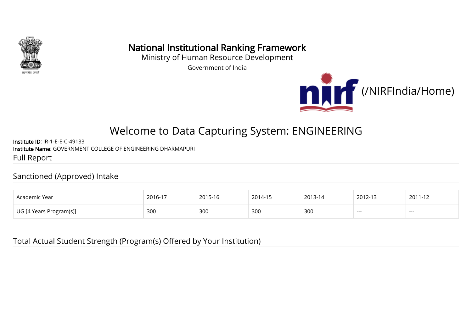

# National Institutional Ranking Framework

Ministry of Human Resource Development

Government of India



# Welcome to Data Capturing System: ENGINEERING

Institute ID: IR-1-E-E-C-49133 Institute Name: GOVERNMENT COLLEGE OF ENGINEERING DHARMAPURI Full Report

#### Sanctioned (Approved) Intake

| Academic Year                  | 201C<br>∠∪ | 10 - כ | $2014 - 15$ | 2013 | $2012 - 1$<br>$\sim$ | 2011<br>. |
|--------------------------------|------------|--------|-------------|------|----------------------|-----------|
| Program(s)]<br>$\alpha$ voors. | 300        | 300    | 300         | 300  | ---                  | ----      |

Total Actual Student Strength (Program(s) Offered by Your Institution)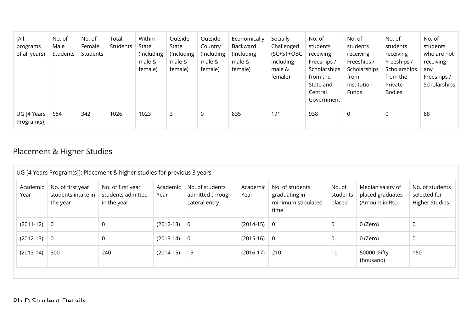| (All<br>programs<br>of all years)        | No. of<br>Male<br>Students | No. of<br>Female<br>Students | Total<br>Students | Within<br>State<br>(Including<br>male &<br>female) | Outside<br>State<br>(Including<br>male &<br>female) | Outside<br>Country<br>(Including<br>male &<br>female) | Economically<br>Backward<br>(Including)<br>male &<br>female) | Socially<br>Challenged<br>$(SC+ST+OBC$<br>Including<br>male &<br>female) | No. of<br>students<br>receiving<br>Freeships /<br>Scholarships<br>from the<br>State and<br>Central<br>Government | No. of<br>students<br>receiving<br>Freeships /<br>Scholarships<br>from<br>Institution<br>Funds | No. of<br>students<br>receiving<br>Freeships /<br>Scholarships<br>from the<br>Private<br><b>Bodies</b> | No. of<br>students<br>who are not<br>receiving<br>any<br>Freeships /<br>Scholarships |
|------------------------------------------|----------------------------|------------------------------|-------------------|----------------------------------------------------|-----------------------------------------------------|-------------------------------------------------------|--------------------------------------------------------------|--------------------------------------------------------------------------|------------------------------------------------------------------------------------------------------------------|------------------------------------------------------------------------------------------------|--------------------------------------------------------------------------------------------------------|--------------------------------------------------------------------------------------|
| $UG$ [4 Years $\parallel$<br>Program(s)] | 684                        | 342                          | 1026              | 1023                                               | 3                                                   | 0                                                     | 835                                                          | 191                                                                      | 938                                                                                                              | 0                                                                                              | 0                                                                                                      | 88                                                                                   |

# Placement & Higher Studies

| Academic<br>Year | No. of first year<br>students intake in<br>the year | No. of first year<br>students admitted<br>in the year | Academic<br>Year | No. of students<br>admitted through<br>Lateral entry | Academic<br>Year | No. of students<br>graduating in<br>minimum stipulated<br>time | No. of<br>students<br>placed | Median salary of<br>placed graduates<br>(Amount in Rs.) | No. of students<br>selected for<br><b>Higher Studies</b> |
|------------------|-----------------------------------------------------|-------------------------------------------------------|------------------|------------------------------------------------------|------------------|----------------------------------------------------------------|------------------------------|---------------------------------------------------------|----------------------------------------------------------|
| $(2011-12)$ 0    |                                                     | 0                                                     | $(2012-13)$ 0    |                                                      | $(2014-15)$      | $\overline{0}$                                                 | 0                            | 0 (Zero)                                                | 0                                                        |
| $(2012-13)$ 0    |                                                     | $\mathbf 0$                                           | $(2013-14)$ 0    |                                                      | $(2015-16)$ 0    |                                                                | 0                            | 0 (Zero)                                                | $\mathbf 0$                                              |
| $(2013-14)$      | 300                                                 | 240                                                   | $(2014-15)$      | 15                                                   | $(2016-17)$      | 210                                                            | 10                           | 50000 (Fifty<br>thousand)                               | 150                                                      |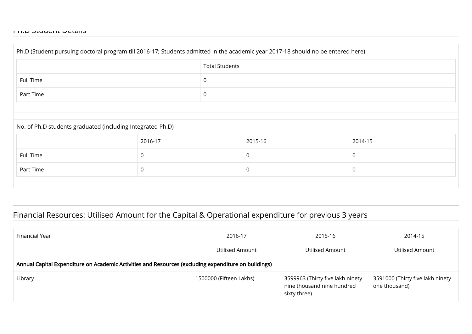| Ph.D (Student pursuing doctoral program till 2016-17; Students admitted in the academic year 2017-18 should no be entered here). |                       |              |         |         |  |  |
|----------------------------------------------------------------------------------------------------------------------------------|-----------------------|--------------|---------|---------|--|--|
|                                                                                                                                  | <b>Total Students</b> |              |         |         |  |  |
| Full Time                                                                                                                        |                       | 0            |         |         |  |  |
| Part Time                                                                                                                        |                       | $\mathsf{O}$ |         |         |  |  |
|                                                                                                                                  |                       |              |         |         |  |  |
| No. of Ph.D students graduated (including Integrated Ph.D)                                                                       |                       |              |         |         |  |  |
|                                                                                                                                  | 2016-17               |              | 2015-16 | 2014-15 |  |  |
| Full Time                                                                                                                        | 0                     |              | 0       | 0       |  |  |
| Part Time                                                                                                                        | 0                     |              | 0       | 0       |  |  |
|                                                                                                                                  |                       |              |         |         |  |  |

#### Financial Resources: Utilised Amount for the Capital & Operational expenditure for previous 3 years

| Financial Year                                                                                       | 2016-17                 | 2015-16                                                                        | 2014-15                                           |  |  |  |
|------------------------------------------------------------------------------------------------------|-------------------------|--------------------------------------------------------------------------------|---------------------------------------------------|--|--|--|
|                                                                                                      | Utilised Amount         | Utilised Amount                                                                | Utilised Amount                                   |  |  |  |
| Annual Capital Expenditure on Academic Activities and Resources (excluding expenditure on buildings) |                         |                                                                                |                                                   |  |  |  |
| Library                                                                                              | 1500000 (Fifteen Lakhs) | 3599963 (Thirty five lakh ninety<br>nine thousand nine hundred<br>sixty three) | 3591000 (Thirty five lakh ninety<br>one thousand) |  |  |  |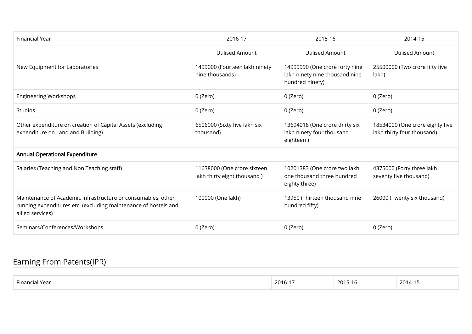| Financial Year                                                                                                                                      | 2016-17                                                    | 2015-16                                                                             | 2014-15                                                       |
|-----------------------------------------------------------------------------------------------------------------------------------------------------|------------------------------------------------------------|-------------------------------------------------------------------------------------|---------------------------------------------------------------|
|                                                                                                                                                     | <b>Utilised Amount</b>                                     | <b>Utilised Amount</b>                                                              | Utilised Amount                                               |
| New Equipment for Laboratories                                                                                                                      | 1499000 (Fourteen lakh ninety<br>nine thousands)           | 14999990 (One crore forty nine<br>lakh ninety nine thousand nine<br>hundred ninety) | 25500000 (Two crore fifty five<br>lakh)                       |
| <b>Engineering Workshops</b>                                                                                                                        | 0 (Zero)                                                   | 0 (Zero)                                                                            | 0 (Zero)                                                      |
| <b>Studios</b>                                                                                                                                      | 0 (Zero)                                                   | 0 (Zero)                                                                            | 0 (Zero)                                                      |
| Other expenditure on creation of Capital Assets (excluding<br>expenditure on Land and Building)                                                     | 6506000 (Sixty five lakh six<br>thousand)                  | 13694018 (One crore thirty six<br>lakh ninety four thousand<br>eighteen)            | 18534000 (One crore eighty five<br>lakh thirty four thousand) |
| <b>Annual Operational Expenditure</b>                                                                                                               |                                                            |                                                                                     |                                                               |
| Salaries (Teaching and Non Teaching staff)                                                                                                          | 11638000 (One crore sixteen<br>lakh thirty eight thousand) | 10201383 (One crore two lakh<br>one thousand three hundred<br>eighty three)         | 4375000 (Forty three lakh<br>seventy five thousand)           |
| Maintenance of Academic Infrastructure or consumables, other<br>running expenditures etc. (excluding maintenance of hostels and<br>allied services) | 100000 (One lakh)                                          | 13950 (Thirteen thousand nine<br>hundred fifty)                                     | 26000 (Twenty six thousand)                                   |
| Seminars/Conferences/Workshops                                                                                                                      | 0 (Zero)                                                   | 0 (Zero)                                                                            | 0 (Zero)                                                      |

# Earning From Patents(IPR)

| $ -$<br><b>Financi</b> a<br>rea | $2016 -$ | $\sqrt{2015}$<br>סו-ר<br>ZU I J | $\cap$<br>$\sim$ 71 –<br>,,,,<br>$\sim$ $\sim$ $\sim$ |
|---------------------------------|----------|---------------------------------|-------------------------------------------------------|
|                                 |          |                                 |                                                       |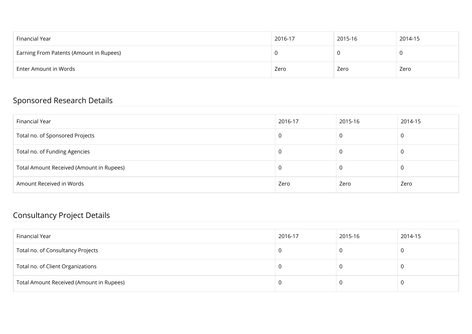| Financial Year                          | 2016-17 | 2015-16 | 2014-15 |
|-----------------------------------------|---------|---------|---------|
| Earning From Patents (Amount in Rupees) |         |         |         |
| Enter Amount in Words                   | Zero    | Zero    | Zero    |

#### Sponsored Research Details

| Financial Year                           | 2016-17 | 2015-16 | 2014-15 |
|------------------------------------------|---------|---------|---------|
| Total no. of Sponsored Projects          | - U     |         | υ       |
| Total no. of Funding Agencies            | J.      | U       | U       |
| Total Amount Received (Amount in Rupees) | -U      | U       | υ       |
| Amount Received in Words                 | Zero    | Zero    | Zero    |

#### Consultancy Project Details

| Financial Year                           | 2016-17 | 2015-16 | 2014-15 |
|------------------------------------------|---------|---------|---------|
| Total no. of Consultancy Projects        |         |         |         |
| Total no. of Client Organizations        |         |         |         |
| Total Amount Received (Amount in Rupees) |         |         |         |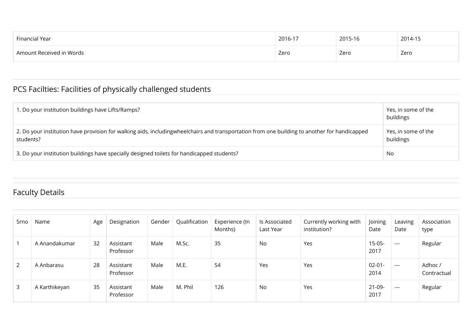| Financial Year           | 2016-17 | 2015-16 | 2014-15 |
|--------------------------|---------|---------|---------|
| Amount Received in Words | Zero    | Zero    | Zero    |

# PCS Facilties: Facilities of physically challenged students

| 1. Do your institution buildings have Lifts/Ramps?                                                                                                        | Yes, in some of the<br>buildings |
|-----------------------------------------------------------------------------------------------------------------------------------------------------------|----------------------------------|
| 2. Do your institution have provision for walking aids, includingwheelchairs and transportation from one building to another for handicapped<br>students? | Yes, in some of the<br>buildings |
| 3. Do your institution buildings have specially designed toilets for handicapped students?                                                                | No                               |

# Faculty Details

| Srno         | Name          | Age | Designation            | Gender | Qualification | Experience (In<br>Months) | ls Associated<br>Last Year | Currently working with<br>institution? | Joining<br>Date     | Leaving<br>Date | Association<br>type    |
|--------------|---------------|-----|------------------------|--------|---------------|---------------------------|----------------------------|----------------------------------------|---------------------|-----------------|------------------------|
|              | A Anandakumar | 32  | Assistant<br>Professor | Male   | M.Sc.         | 35                        | No                         | Yes                                    | $15 - 05 -$<br>2017 | $  -$           | Regular                |
| 2            | A Anbarasu    | 28  | Assistant<br>Professor | Male   | M.E.          | 54                        | Yes                        | Yes                                    | $02 - 01 -$<br>2014 | $---$           | Adhoc /<br>Contractual |
| $\mathbf{3}$ | A Karthikeyan | 35  | Assistant<br>Professor | Male   | M. Phil       | 126                       | No                         | Yes                                    | $21-09-$<br>2017    | $\frac{1}{2}$   | Regular                |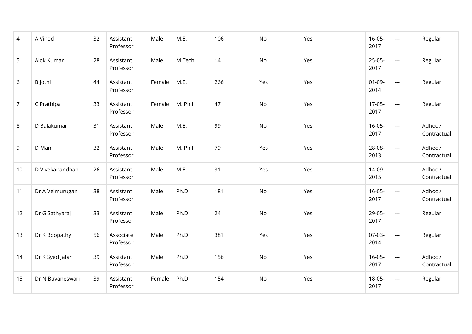| 4              | A Vinod          | 32 | Assistant<br>Professor | Male   | M.E.    | 106 | No        | Yes | $16 - 05 -$<br>2017 | $\frac{1}{2}$            | Regular                |
|----------------|------------------|----|------------------------|--------|---------|-----|-----------|-----|---------------------|--------------------------|------------------------|
| 5              | Alok Kumar       | 28 | Assistant<br>Professor | Male   | M.Tech  | 14  | <b>No</b> | Yes | $25 - 05 -$<br>2017 | $\sim$ $\sim$            | Regular                |
| 6              | B Jothi          | 44 | Assistant<br>Professor | Female | M.E.    | 266 | Yes       | Yes | $01-09-$<br>2014    | $\sim$ $\sim$ $\sim$     | Regular                |
| $\overline{7}$ | C Prathipa       | 33 | Assistant<br>Professor | Female | M. Phil | 47  | No        | Yes | $17 - 05 -$<br>2017 | $\sim$ $\sim$            | Regular                |
| 8              | D Balakumar      | 31 | Assistant<br>Professor | Male   | M.E.    | 99  | No        | Yes | $16 - 05 -$<br>2017 | $\mathbb{L} \mathbb{L}$  | Adhoc /<br>Contractual |
| 9              | D Mani           | 32 | Assistant<br>Professor | Male   | M. Phil | 79  | Yes       | Yes | 28-08-<br>2013      | $\overline{\phantom{a}}$ | Adhoc /<br>Contractual |
| 10             | D Vivekanandhan  | 26 | Assistant<br>Professor | Male   | M.E.    | 31  | Yes       | Yes | 14-09-<br>2015      | $\overline{\phantom{a}}$ | Adhoc /<br>Contractual |
| 11             | Dr A Velmurugan  | 38 | Assistant<br>Professor | Male   | Ph.D    | 181 | No        | Yes | $16 - 05 -$<br>2017 | $\overline{\phantom{a}}$ | Adhoc /<br>Contractual |
| 12             | Dr G Sathyaraj   | 33 | Assistant<br>Professor | Male   | Ph.D    | 24  | No        | Yes | $29 - 05 -$<br>2017 | $\overline{\phantom{a}}$ | Regular                |
| 13             | Dr K Boopathy    | 56 | Associate<br>Professor | Male   | Ph.D    | 381 | Yes       | Yes | $07-03-$<br>2014    | $\overline{\phantom{a}}$ | Regular                |
| 14             | Dr K Syed Jafar  | 39 | Assistant<br>Professor | Male   | Ph.D    | 156 | No        | Yes | $16 - 05 -$<br>2017 | $\overline{\phantom{a}}$ | Adhoc /<br>Contractual |
| 15             | Dr N Buvaneswari | 39 | Assistant<br>Professor | Female | Ph.D    | 154 | No        | Yes | $18 - 05 -$<br>2017 | $\frac{1}{2}$            | Regular                |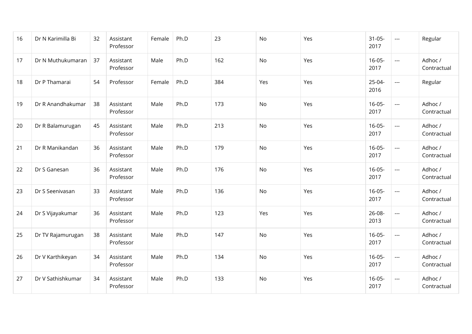| 16 | Dr N Karimilla Bi | 32 | Assistant<br>Professor | Female | Ph.D | 23  | No  | Yes | $31 - 05 -$<br>2017 | $\sim$ $\sim$            | Regular                |
|----|-------------------|----|------------------------|--------|------|-----|-----|-----|---------------------|--------------------------|------------------------|
| 17 | Dr N Muthukumaran | 37 | Assistant<br>Professor | Male   | Ph.D | 162 | No  | Yes | $16 - 05 -$<br>2017 | $\overline{a}$           | Adhoc /<br>Contractual |
| 18 | Dr P Thamarai     | 54 | Professor              | Female | Ph.D | 384 | Yes | Yes | $25-04-$<br>2016    | $\overline{a}$           | Regular                |
| 19 | Dr R Anandhakumar | 38 | Assistant<br>Professor | Male   | Ph.D | 173 | No  | Yes | $16 - 05 -$<br>2017 | $---$                    | Adhoc /<br>Contractual |
| 20 | Dr R Balamurugan  | 45 | Assistant<br>Professor | Male   | Ph.D | 213 | No  | Yes | $16 - 05 -$<br>2017 | $\overline{a}$           | Adhoc /<br>Contractual |
| 21 | Dr R Manikandan   | 36 | Assistant<br>Professor | Male   | Ph.D | 179 | No  | Yes | $16 - 05 -$<br>2017 | $\overline{\phantom{a}}$ | Adhoc /<br>Contractual |
| 22 | Dr S Ganesan      | 36 | Assistant<br>Professor | Male   | Ph.D | 176 | No  | Yes | $16 - 05 -$<br>2017 | $\sim$ $\sim$            | Adhoc /<br>Contractual |
| 23 | Dr S Seenivasan   | 33 | Assistant<br>Professor | Male   | Ph.D | 136 | No  | Yes | $16 - 05 -$<br>2017 | $\overline{\phantom{a}}$ | Adhoc /<br>Contractual |
| 24 | Dr S Vijayakumar  | 36 | Assistant<br>Professor | Male   | Ph.D | 123 | Yes | Yes | $26 - 08 -$<br>2013 | $\overline{\phantom{a}}$ | Adhoc /<br>Contractual |
| 25 | Dr TV Rajamurugan | 38 | Assistant<br>Professor | Male   | Ph.D | 147 | No  | Yes | $16 - 05 -$<br>2017 | $\sim$ $\sim$            | Adhoc /<br>Contractual |
| 26 | Dr V Karthikeyan  | 34 | Assistant<br>Professor | Male   | Ph.D | 134 | No  | Yes | $16 - 05 -$<br>2017 | $---$                    | Adhoc /<br>Contractual |
| 27 | Dr V Sathishkumar | 34 | Assistant<br>Professor | Male   | Ph.D | 133 | No  | Yes | $16 - 05 -$<br>2017 | $\sim$ $\sim$            | Adhoc /<br>Contractual |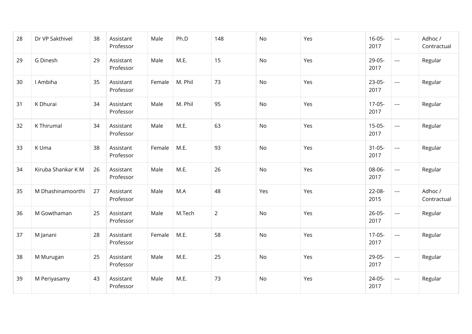| 28 | Dr VP Sakthivel    | 38 | Assistant<br>Professor | Male   | Ph.D    | 148            | No  | Yes | $16 - 05 -$<br>2017 | $\sim$ $\sim$ $\sim$ | Adhoc /<br>Contractual |
|----|--------------------|----|------------------------|--------|---------|----------------|-----|-----|---------------------|----------------------|------------------------|
| 29 | G Dinesh           | 29 | Assistant<br>Professor | Male   | M.E.    | 15             | No  | Yes | 29-05-<br>2017      | $\overline{a}$       | Regular                |
| 30 | I Ambiha           | 35 | Assistant<br>Professor | Female | M. Phil | 73             | No  | Yes | $23-05-$<br>2017    | $\sim$ $\sim$        | Regular                |
| 31 | K Dhurai           | 34 | Assistant<br>Professor | Male   | M. Phil | 95             | No  | Yes | $17-05-$<br>2017    | $\sim$ $\sim$        | Regular                |
| 32 | K Thirumal         | 34 | Assistant<br>Professor | Male   | M.E.    | 63             | No  | Yes | $15 - 05 -$<br>2017 | $\sim$ $\sim$        | Regular                |
| 33 | K Uma              | 38 | Assistant<br>Professor | Female | M.E.    | 93             | No  | Yes | $31 - 05 -$<br>2017 | $\frac{1}{2}$        | Regular                |
| 34 | Kiruba Shankar K M | 26 | Assistant<br>Professor | Male   | M.E.    | 26             | No  | Yes | 08-06-<br>2017      | $\scriptstyle\cdots$ | Regular                |
| 35 | M Dhashinamoorthi  | 27 | Assistant<br>Professor | Male   | M.A     | 48             | Yes | Yes | $22 - 08 -$<br>2015 | $\sim$ $\sim$        | Adhoc /<br>Contractual |
| 36 | M Gowthaman        | 25 | Assistant<br>Professor | Male   | M.Tech  | $\overline{2}$ | No  | Yes | $26 - 05 -$<br>2017 | $\sim$ $\sim$ $\sim$ | Regular                |
| 37 | M Janani           | 28 | Assistant<br>Professor | Female | M.E.    | 58             | No  | Yes | $17-05-$<br>2017    | $\scriptstyle\cdots$ | Regular                |
| 38 | M Murugan          | 25 | Assistant<br>Professor | Male   | M.E.    | 25             | No  | Yes | 29-05-<br>2017      | $\qquad \qquad - -$  | Regular                |
| 39 | M Periyasamy       | 43 | Assistant<br>Professor | Male   | M.E.    | 73             | No  | Yes | $24 - 05 -$<br>2017 | $\sim$ $\sim$        | Regular                |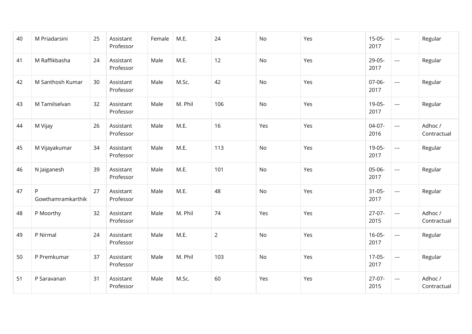| 40 | M Priadarsini          | 25 | Assistant<br>Professor | Female | M.E.    | 24             | No  | Yes | $15 - 05 -$<br>2017 | $\overline{\phantom{a}}$                                                                       | Regular                |
|----|------------------------|----|------------------------|--------|---------|----------------|-----|-----|---------------------|------------------------------------------------------------------------------------------------|------------------------|
| 41 | M Raffikbasha          | 24 | Assistant<br>Professor | Male   | M.E.    | 12             | No  | Yes | 29-05-<br>2017      | $\overline{a}$                                                                                 | Regular                |
| 42 | M Santhosh Kumar       | 30 | Assistant<br>Professor | Male   | M.Sc.   | 42             | No  | Yes | $07 - 06 -$<br>2017 | $\sim$ $\sim$                                                                                  | Regular                |
| 43 | M Tamilselvan          | 32 | Assistant<br>Professor | Male   | M. Phil | 106            | No  | Yes | 19-05-<br>2017      | $\sim$ $\sim$                                                                                  | Regular                |
| 44 | M Vijay                | 26 | Assistant<br>Professor | Male   | M.E.    | 16             | Yes | Yes | $04-07-$<br>2016    | $\overline{a}$                                                                                 | Adhoc /<br>Contractual |
| 45 | M Vijayakumar          | 34 | Assistant<br>Professor | Male   | M.E.    | 113            | No  | Yes | 19-05-<br>2017      | $\frac{1}{2} \left( \frac{1}{2} \right) \left( \frac{1}{2} \right) \left( \frac{1}{2} \right)$ | Regular                |
| 46 | N Jaiganesh            | 39 | Assistant<br>Professor | Male   | M.E.    | 101            | No  | Yes | $05-06-$<br>2017    | $\scriptstyle\cdots$                                                                           | Regular                |
| 47 | P<br>Gowthamramkarthik | 27 | Assistant<br>Professor | Male   | M.E.    | 48             | No  | Yes | $31 - 05 -$<br>2017 | $\sim$ $\sim$                                                                                  | Regular                |
| 48 | P Moorthy              | 32 | Assistant<br>Professor | Male   | M. Phil | 74             | Yes | Yes | $27-07-$<br>2015    | $\sim$ $\sim$                                                                                  | Adhoc /<br>Contractual |
| 49 | P Nirmal               | 24 | Assistant<br>Professor | Male   | M.E.    | $\overline{2}$ | No  | Yes | $16 - 05 -$<br>2017 | $\sim$ $\sim$                                                                                  | Regular                |
| 50 | P Premkumar            | 37 | Assistant<br>Professor | Male   | M. Phil | 103            | No  | Yes | $17-05-$<br>2017    | $\sim$ $\sim$                                                                                  | Regular                |
| 51 | P Saravanan            | 31 | Assistant<br>Professor | Male   | M.Sc.   | 60             | Yes | Yes | $27-07-$<br>2015    | $\overline{a}$                                                                                 | Adhoc /<br>Contractual |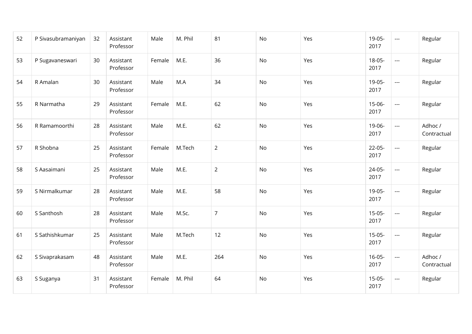| 52 | P Sivasubramaniyan | 32 | Assistant<br>Professor | Male   | M. Phil | 81             | No        | Yes | 19-05-<br>2017      | $\sim$ $\sim$            | Regular                |
|----|--------------------|----|------------------------|--------|---------|----------------|-----------|-----|---------------------|--------------------------|------------------------|
| 53 | P Sugavaneswari    | 30 | Assistant<br>Professor | Female | M.E.    | 36             | No        | Yes | $18 - 05 -$<br>2017 | $\overline{a}$           | Regular                |
| 54 | R Amalan           | 30 | Assistant<br>Professor | Male   | M.A     | 34             | No        | Yes | 19-05-<br>2017      | $\overline{a}$           | Regular                |
| 55 | R Narmatha         | 29 | Assistant<br>Professor | Female | M.E.    | 62             | <b>No</b> | Yes | $15 - 06 -$<br>2017 | $\sim$ $\sim$            | Regular                |
| 56 | R Ramamoorthi      | 28 | Assistant<br>Professor | Male   | M.E.    | 62             | <b>No</b> | Yes | 19-06-<br>2017      | $---$                    | Adhoc /<br>Contractual |
| 57 | R Shobna           | 25 | Assistant<br>Professor | Female | M.Tech  | $\overline{2}$ | No        | Yes | $22 - 05 -$<br>2017 | $\overline{\phantom{a}}$ | Regular                |
| 58 | S Aasaimani        | 25 | Assistant<br>Professor | Male   | M.E.    | $\overline{2}$ | <b>No</b> | Yes | $24 - 05 -$<br>2017 | $\overline{a}$           | Regular                |
| 59 | S Nirmalkumar      | 28 | Assistant<br>Professor | Male   | M.E.    | 58             | No        | Yes | 19-05-<br>2017      | $\sim$ $\sim$            | Regular                |
| 60 | S Santhosh         | 28 | Assistant<br>Professor | Male   | M.Sc.   | $\overline{7}$ | No        | Yes | $15 - 05 -$<br>2017 | $\frac{1}{2}$            | Regular                |
| 61 | S Sathishkumar     | 25 | Assistant<br>Professor | Male   | M.Tech  | 12             | No        | Yes | $15-05-$<br>2017    | $\sim$                   | Regular                |
| 62 | S Sivaprakasam     | 48 | Assistant<br>Professor | Male   | M.E.    | 264            | <b>No</b> | Yes | $16 - 05 -$<br>2017 | $\sim$ $\sim$ $\sim$     | Adhoc /<br>Contractual |
| 63 | S Suganya          | 31 | Assistant<br>Professor | Female | M. Phil | 64             | No        | Yes | $15-05-$<br>2017    | $\sim$ $\sim$            | Regular                |